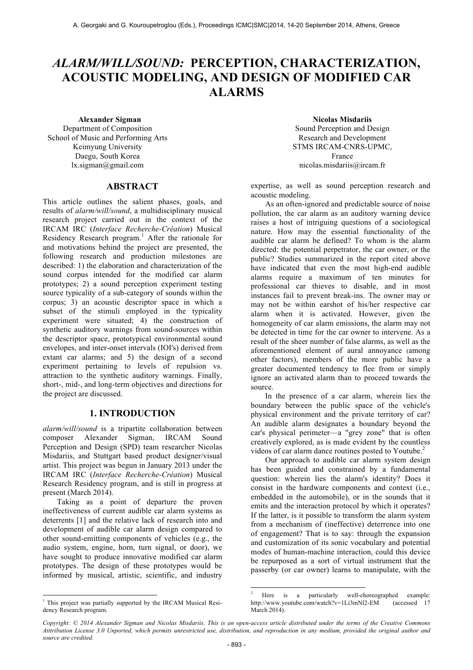# *ALARM/WILL/SOUND:* **PERCEPTION, CHARACTERIZATION, ACOUSTIC MODELING, AND DESIGN OF MODIFIED CAR ALARMS**

Department of Composition School of Music and Performing Arts Keimyung University Daegu, South Korea lx.sigman@gmail.com

### **ABSTRACT**

This article outlines the salient phases, goals, and results of *alarm/will/sound*, a multidisciplinary musical research project carried out in the context of the IRCAM IRC (*Interface Recherche-Création*) Musical Residency Research program.<sup>1</sup> After the rationale for and motivations behind the project are presented, the following research and production milestones are described: 1) the elaboration and characterization of the sound corpus intended for the modified car alarm prototypes; 2) a sound perception experiment testing source typicality of a sub-category of sounds within the corpus; 3) an acoustic descriptor space in which a subset of the stimuli employed in the typicality experiment were situated; 4) the construction of synthetic auditory warnings from sound-sources within the descriptor space, prototypical environmental sound envelopes, and inter-onset intervals (IOI's) derived from extant car alarms; and 5) the design of a second experiment pertaining to levels of repulsion vs. attraction to the synthetic auditory warnings. Finally, short-, mid-, and long-term objectives and directions for the project are discussed.

### **1. INTRODUCTION**

*alarm/will/sound* is a tripartite collaboration between composer Alexander Sigman, IRCAM Sound Perception and Design (SPD) team researcher Nicolas Misdariis, and Stuttgart based product designer/visual artist. This project was begun in January 2013 under the IRCAM IRC (*Interface Recherche-Création*) Musical Research Residency program, and is still in progress at present (March 2014).

Taking as a point of departure the proven ineffectiveness of current audible car alarm systems as deterrents [1] and the relative lack of research into and development of audible car alarm design compared to other sound-emitting components of vehicles (e.g., the audio system, engine, horn, turn signal, or door), we have sought to produce innovative modified car alarm prototypes. The design of these prototypes would be informed by musical, artistic, scientific, and industry

<sup>1</sup> This project was partially supported by the IRCAM Musical Residency Research program.

 $\overline{a}$ 

**Alexander Sigman Second Author Nicolas Misdariis Sound Perception and Design** Research and Development STMS IRCAM-CNRS-UPMC, France nicolas.misdariis@ircam.fr

> expertise, as well as sound perception research and acoustic modeling.

As an often-ignored and predictable source of noise pollution, the car alarm as an auditory warning device raises a host of intriguing questions of a sociological nature. How may the essential functionality of the audible car alarm be defined? To whom is the alarm directed: the potential perpetrator, the car owner, or the public? Studies summarized in the report cited above have indicated that even the most high-end audible alarms require a maximum of ten minutes for professional car thieves to disable, and in most instances fail to prevent break-ins. The owner may or may not be within earshot of his/her respective car alarm when it is activated. However, given the homogeneity of car alarm emissions, the alarm may not be detected in time for the car owner to intervene. As a result of the sheer number of false alarms, as well as the aforementioned element of aural annoyance (among other factors), members of the more public have a greater documented tendency to flee from or simply ignore an activated alarm than to proceed towards the source.

 In the presence of a car alarm, wherein lies the boundary between the public space of the vehicle's physical environment and the private territory of car? An audible alarm designates a boundary beyond the car's physical perimeter—a "grey zone" that is often creatively explored, as is made evident by the countless videos of car alarm dance routines posted to Youtube.<sup>2</sup>

 Our approach to audible car alarm system design has been guided and constrained by a fundamental question: wherein lies the alarm's identity? Does it consist in the hardware components and context (i.e., embedded in the automobile), or in the sounds that it emits and the interaction protocol by which it operates? If the latter, is it possible to transform the alarm system from a mechanism of (ineffective) deterrence into one of engagement? That is to say: through the expansion and customization of its sonic vocabulary and potential modes of human-machine interaction, could this device be repurposed as a sort of virtual instrument that the passerby (or car owner) learns to manipulate, with the

l

<sup>2</sup> Here is a particularly well-choreographed example: http://www.youtube.com/watch?v=1Li3mNl2-EM (accessed 17 March 2014).

*Copyright: © 2014 Alexander Sigman and Nicolas Misdariis. This is an open-access article distributed under the terms of the Creative Commons Atttribution License 3.0 Unported, which permits unrestricted use, distribution, and reproduction in any medium, provided the original author and source are credited.*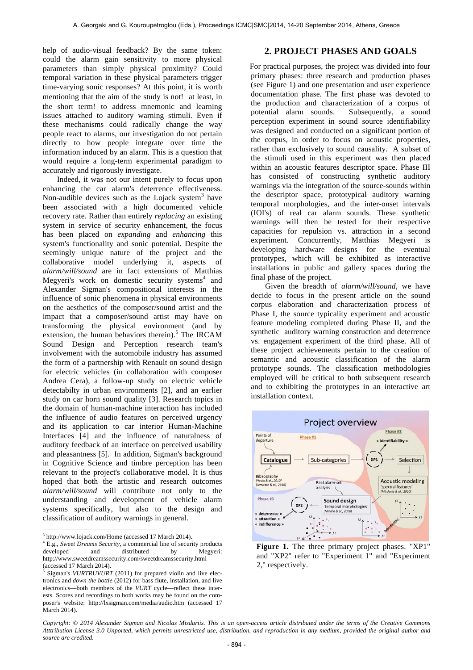help of audio-visual feedback? By the same token: could the alarm gain sensitivity to more physical parameters than simply physical proximity? Could temporal variation in these physical parameters trigger time-varying sonic responses? At this point, it is worth mentioning that the aim of the study is not! at least, in the short term! to address mnemonic and learning issues attached to auditory warning stimuli. Even if these mechanisms could radically change the way people react to alarms, our investigation do not pertain directly to how people integrate over time the information induced by an alarm. This is a question that would require a long-term experimental paradigm to accurately and rigorously investigate.

Indeed, it was not our intent purely to focus upon enhancing the car alarm's deterrence effectiveness. Non-audible devices such as the Lojack system $3$  have been associated with a high documented vehicle recovery rate. Rather than entirely *replacing* an existing system in service of security enhancement, the focus has been placed on *expanding* and *enhancing* this system's functionality and sonic potential. Despite the seemingly unique nature of the project and the collaborative model underlying it, aspects of *alarm/will/sound* are in fact extensions of Matthias Megyeri's work on domestic security systems $4$  and Alexander Sigman's compositional interests in the influence of sonic phenomena in physical environments on the aesthetics of the composer/sound artist and the impact that a composer/sound artist may have on transforming the physical environment (and by extension, the human behaviors therein).<sup>5</sup> The IRCAM Sound Design and Perception research team's involvement with the automobile industry has assumed the form of a partnership with Renault on sound design for electric vehicles (in collaboration with composer Andrea Cera), a follow-up study on electric vehicle detectabilty in urban environments [2], and an earlier study on car horn sound quality [3]. Research topics in the domain of human-machine interaction has included the influence of audio features on perceived urgency and its application to car interior Human-Machine Interfaces [4] and the influence of naturalness of auditory feedback of an interface on perceived usability and pleasantness [5]. In addition, Sigman's background in Cognitive Science and timbre perception has been relevant to the project's collaborative model. It is thus hoped that both the artistic and research outcomes *alarm/will/sound* will contribute not only to the understanding and development of vehicle alarm systems specifically, but also to the design and classification of auditory warnings in general.

 $\overline{a}$ 

<sup>3</sup> http://www.lojack.com/Home (accessed 17 March 2014). 4 E.g., *Sweet Dreams Security*, a commercial line of security products developed and distributed by Megyeri: http://www.sweetdreamssecurity.com/sweetdreamssecurity.html<br>(accessed 17 March 2014)

# **2. PROJECT PHASES AND GOALS**

For practical purposes, the project was divided into four primary phases: three research and production phases (see Figure 1) and one presentation and user experience documentation phase. The first phase was devoted to the production and characterization of a corpus of potential alarm sounds. Subsequently, a sound perception experiment in sound source identifiability was designed and conducted on a significant portion of the corpus, in order to focus on acoustic properties, rather than exclusively to sound causality. A subset of the stimuli used in this experiment was then placed within an acoustic features descriptor space. Phase III has consisted of constructing synthetic auditory warnings via the integration of the source-sounds within the descriptor space, prototypical auditory warning temporal morphologies, and the inter-onset intervals (IOI's) of real car alarm sounds. These synthetic warnings will then be tested for their respective capacities for repulsion vs. attraction in a second experiment. Concurrently, Matthias Megyeri is developing hardware designs for the eventual prototypes, which will be exhibited as interactive installations in public and gallery spaces during the final phase of the project.

Given the breadth of *alarm/will/sound,* we have decide to focus in the present article on the sound corpus elaboration and characterization process of Phase I, the source typicality experiment and acoustic feature modeling completed during Phase II, and the synthetic auditory warning construction and deterrence vs. engagement experiment of the third phase. All of these project achievements pertain to the creation of semantic and acoustic classification of the alarm prototype sounds. The classification methodologies employed will be critical to both subsequent research and to exhibiting the prototypes in an interactive art installation context.



**Figure 1.** The three primary project phases. "XP1" and "XP2" refer to "Experiment 1" and "Experiment 2," respectively.

 $\frac{1}{2}$  Sigman's *VURTRUVURT* (2011) for prepared violin and live electronics and *down the bottle* (2012) for bass flute, installation, and live electronics—both members of the *VURT* cycle—reflect these interests. Scores and recordings to both works may be found on the composer's website: http://lxsigman.com/media/audio.htm (accessed 17 March 2014).

*Copyright: © 2014 Alexander Sigman and Nicolas Misdariis. This is an open-access article distributed under the terms of the Creative Commons Atttribution License 3.0 Unported, which permits unrestricted use, distribution, and reproduction in any medium, provided the original author and source are credited.*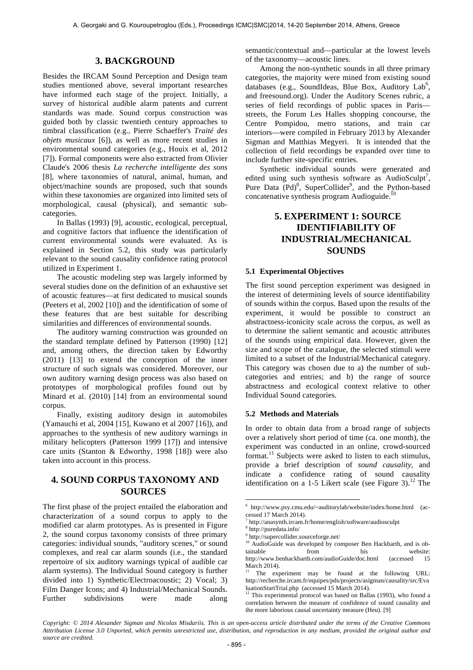### **3. BACKGROUND**

Besides the IRCAM Sound Perception and Design team studies mentioned above, several important researches have informed each stage of the project. Initially, a survey of historical audible alarm patents and current standards was made. Sound corpus construction was guided both by classic twentieth century approaches to timbral classification (e.g., Pierre Schaeffer's *Traité des objets musicaux* [6]), as well as more recent studies in environmental sound categories (e.g., Houix et al, 2012 [7]). Formal components were also extracted from Olivier Claude's 2006 thesis *La recherche intelligente des sons*  [8], where taxonomies of natural, animal, human, and object/machine sounds are proposed, such that sounds within these taxonomies are organized into limited sets of morphological, causal (physical), and semantic subcategories.

In Ballas (1993) [9], acoustic, ecological, perceptual, and cognitive factors that influence the identification of current environmental sounds were evaluated. As is explained in Section 5.2, this study was particularly relevant to the sound causality confidence rating protocol utilized in Experiment 1.

The acoustic modeling step was largely informed by several studies done on the definition of an exhaustive set of acoustic features—at first dedicated to musical sounds (Peeters et al, 2002 [10]) and the identification of some of these features that are best suitable for describing similarities and differences of environmental sounds.

The auditory warning construction was grounded on the standard template defined by Patterson (1990) [12] and, among others, the direction taken by Edworthy (2011) [13] to extend the conception of the inner structure of such signals was considered. Moreover, our own auditory warning design process was also based on prototypes of morphological profiles found out by Minard et al. (2010) [14] from an environmental sound corpus.

Finally, existing auditory design in automobiles (Yamauchi et al, 2004 [15], Kuwano et al 2007 [16]), and approaches to the synthesis of new auditory warnings in military helicopters (Patterson 1999 [17]) and intensive care units (Stanton & Edworthy, 1998 [18]) were also taken into account in this process.

# **4. SOUND CORPUS TAXONOMY AND SOURCES**

The first phase of the project entailed the elaboration and characterization of a sound corpus to apply to the modified car alarm prototypes. As is presented in Figure 2, the sound corpus taxonomy consists of three primary categories: individual sounds, "auditory scenes," or sound complexes, and real car alarm sounds (i.e., the standard repertoire of six auditory warnings typical of audible car alarm systems). The Individual Sound category is further divided into 1) Synthetic/Electroacoustic; 2) Vocal; 3) Film Danger Icons; and 4) Industrial/Mechanical Sounds. Further subdivisions were made along semantic/contextual and—particular at the lowest levels of the taxonomy—acoustic lines.

Among the non-synthetic sounds in all three primary categories, the majority were mined from existing sound databases (e.g., SoundIdeas, Blue Box, Auditory  $Lab<sup>6</sup>$ , and freesound.org). Under the Auditory Scenes rubric, a series of field recordings of public spaces in Paris streets, the Forum Les Halles shopping concourse, the Centre Pompidou, metro stations, and train car interiors—were compiled in February 2013 by Alexander Sigman and Matthias Megyeri. It is intended that the collection of field recordings be expanded over time to include further site-specific entries.

Synthetic individual sounds were generated and edited using such synthesis software as AudioSculpt<sup>7</sup>, Pure Data (Pd)<sup>8</sup>, SuperCollider<sup>9</sup>, and the Python-based concatenative synthesis program Audioguide.<sup>10</sup>

# **5. EXPERIMENT 1: SOURCE IDENTIFIABILITY OF INDUSTRIAL/MECHANICAL SOUNDS**

#### **5.1 Experimental Objectives**

The first sound perception experiment was designed in the interest of determining levels of source identifiability of sounds within the corpus. Based upon the results of the experiment, it would be possible to construct an abstractness-iconicity scale across the corpus, as well as to determine the salient semantic and acoustic attributes of the sounds using empirical data. However, given the size and scope of the catalogue, the selected stimuli were limited to a subset of the Industrial/Mechanical category. This category was chosen due to a) the number of subcategories and entries; and b) the range of source abstractness and ecological context relative to other Individual Sound categories.

#### **5.2 Methods and Materials**

In order to obtain data from a broad range of subjects over a relatively short period of time (ca. one month), the experiment was conducted in an online, crowd-sourced format.<sup>11</sup> Subjects were asked to listen to each stimulus, provide a brief description of *sound causality*, and indicate a confidence rating of sound causality identification on a 1-5 Likert scale (see Figure 3).<sup>12</sup> The

*Copyright: © 2014 Alexander Sigman and Nicolas Misdariis. This is an open-access article distributed under the terms of the Creative Commons Atttribution License 3.0 Unported, which permits unrestricted use, distribution, and reproduction in any medium, provided the original author and source are credited.* 

l

<sup>6</sup> http://www.psy.cmu.edu/~auditorylab/website/index/home.html (accessed 17 March 2014).

<sup>7</sup> http://anasynth.ircam.fr/home/english/software/audiosculpt

 $\frac{8}{9}$  http://puredata.info/<br> $\frac{9}{9}$  http://supercollider.sourceforge.net/

<sup>&</sup>lt;sup>10</sup> AudioGuide was developed by composer Ben Hackbarth, and is obtainable from his website: http://www.benhackbarth.com/audioGuide/doc.html (accessed 15  $March 2014$ 

The experiment may be found at the following URL: http://recherche.ircam.fr/equipes/pds/projects/asigman/causality/src/Eva

This experimental protocol was based on Ballas (1993), who found a correlation between the measure of confidence of sound causality and the more laborious causal uncertainty measure (Heu). [9]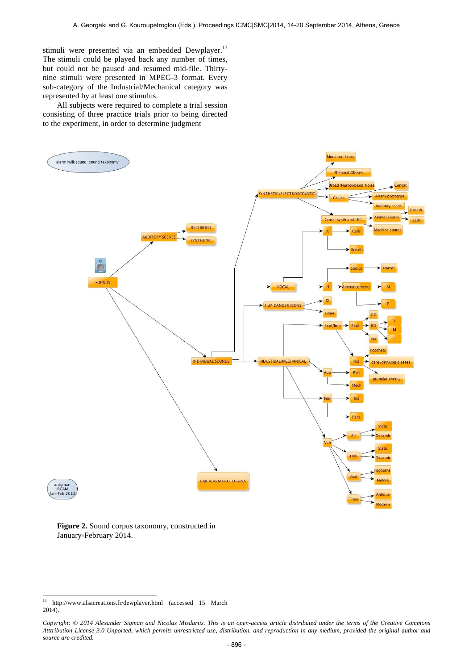stimuli were presented via an embedded Dewplayer.<sup>13</sup> The stimuli could be played back any number of times, but could not be paused and resumed mid-file. Thirtynine stimuli were presented in MPEG-3 format. Every sub-category of the Industrial/Mechanical category was represented by at least one stimulus.

All subjects were required to complete a trial session consisting of three practice trials prior to being directed to the experiment, in order to determine judgment



**Figure 2.** Sound corpus taxonomy, constructed in January-February 2014.

 $\overline{a}$ 

<sup>&</sup>lt;sup>13</sup> http://www.alsacreations.fr/dewplayer.html (accessed 15 March 2014).

*Copyright: © 2014 Alexander Sigman and Nicolas Misdariis. This is an open-access article distributed under the terms of the Creative Commons Atttribution License 3.0 Unported, which permits unrestricted use, distribution, and reproduction in any medium, provided the original author and source are credited.*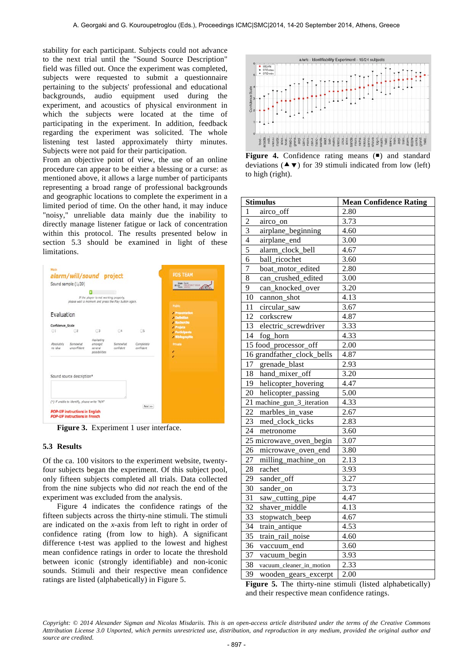stability for each participant. Subjects could not advance to the next trial until the "Sound Source Description" field was filled out. Once the experiment was completed, subjects were requested to submit a questionnaire pertaining to the subjects' professional and educational backgrounds, audio equipment used during the experiment, and acoustics of physical environment in which the subjects were located at the time of participating in the experiment. In addition, feedback regarding the experiment was solicited. The whole listening test lasted approximately thirty minutes. Subjects were not paid for their participation.

From an objective point of view, the use of an online procedure can appear to be either a blessing or a curse: as mentioned above, it allows a large number of participants representing a broad range of professional backgrounds and geographic locations to complete the experiment in a limited period of time. On the other hand, it may induce "noisy," unreliable data mainly due the inability to directly manage listener fatigue or lack of concentration within this protocol. The results presented below in section 5.3 should be examined in light of these limitations.



**Figure 3.** Experiment 1 user interface.

#### **5.3 Results**

Of the ca. 100 visitors to the experiment website, twentyfour subjects began the experiment. Of this subject pool, only fifteen subjects completed all trials. Data collected from the nine subjects who did *not* reach the end of the experiment was excluded from the analysis.

Figure 4 indicates the confidence ratings of the fifteen subjects across the thirty-nine stimuli. The stimuli are indicated on the *x-*axis from left to right in order of confidence rating (from low to high). A significant difference t-test was applied to the lowest and highest mean confidence ratings in order to locate the threshold between iconic (strongly identifiable) and non-iconic sounds. Stimuli and their respective mean confidence ratings are listed (alphabetically) in Figure 5.



**Figure 4.** Confidence rating means ( $\blacksquare$ ) and standard deviations ( $\blacktriangle$   $\blacktriangledown$ ) for 39 stimuli indicated from low (left) to high (right).

| <b>Stimulus</b>                       | <b>Mean Confidence Rating</b> |
|---------------------------------------|-------------------------------|
| $\mathbf{1}$<br>airco_off             | 2.80                          |
| $\overline{2}$<br>airco_on            | 3.73                          |
| $\overline{3}$<br>airplane_beginning  | 4.60                          |
| $\overline{4}$<br>airplane_end        | 3.00                          |
| $\overline{5}$<br>alarm_clock_bell    | 4.67                          |
| 6<br>ball ricochet                    | 3.60                          |
| 7<br>boat_motor_edited                | 2.80                          |
| $\overline{8}$<br>can_crushed_edited  | 3.00                          |
| 9<br>can_knocked_over                 | 3.20                          |
| 10<br>cannon_shot                     | 4.13                          |
| circular_saw<br>11                    | 3.67                          |
| 12<br>corkscrew                       | 4.87                          |
| 13 electric_screwdriver               | 3.33                          |
| 14<br>fog_horn                        | 4.33                          |
| 15 food_processor_off                 | 2.00                          |
| 16 grandfather_clock_bells            | 4.87                          |
| 17 grenade_blast                      | 2.93                          |
| 18<br>hand_mixer_off                  | 3.20                          |
| 19 helicopter_hovering                | 4.47                          |
| 20 helicopter_passing                 | 5.00                          |
| 21 machine_gun_3_iteration            | 4.33                          |
| 22<br>marbles_in_vase                 | 2.67                          |
| 23<br>med_clock_ticks                 | 2.83                          |
| 24<br>metronome                       | 3.60                          |
| 25 microwave_oven_begin               | 3.07                          |
| $\overline{26}$<br>microwave_oven_end | 3.80                          |
| 27<br>milling_machine_on              | 2.13                          |
| 28<br>rachet                          | 3.93                          |
| 29<br>sander_off                      | 3.27                          |
| 30<br>sander_on                       | 3.73                          |
| 31<br>saw_cutting_pipe                | 4.47                          |
| 32<br>shaver_middle                   | 4.13                          |
| 33<br>stopwatch_beep                  | 4.67                          |
| 34<br>train_antique                   | 4.53                          |
| 35<br>train_rail_noise                | 4.60                          |
| 36<br>vaccuum_end                     | 3.60                          |
| $\overline{37}$<br>vacuum_begin       | 3.93                          |
| 38<br>vacuum_cleaner_in_motion        | 2.33                          |
| 39<br>wooden_gears_excerpt            | 2.00                          |

**Figure 5.** The thirty-nine stimuli (listed alphabetically) and their respective mean confidence ratings.

*Copyright: © 2014 Alexander Sigman and Nicolas Misdariis. This is an open-access article distributed under the terms of the Creative Commons Atttribution License 3.0 Unported, which permits unrestricted use, distribution, and reproduction in any medium, provided the original author and source are credited.*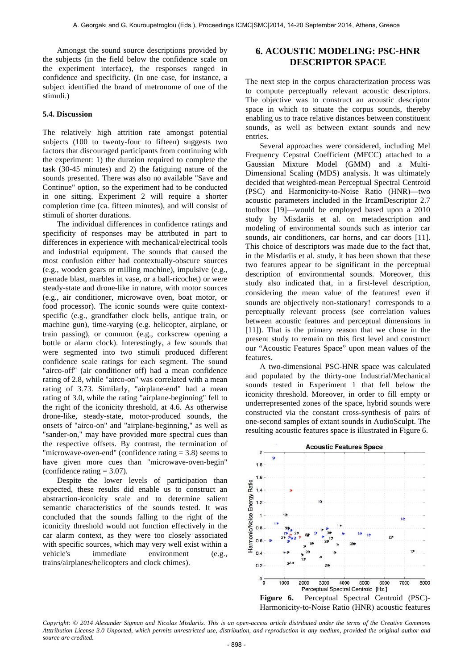Amongst the sound source descriptions provided by the subjects (in the field below the confidence scale on the experiment interface), the responses ranged in confidence and specificity. (In one case, for instance, a subject identified the brand of metronome of one of the stimuli.)

#### **5.4. Discussion**

The relatively high attrition rate amongst potential subjects (100 to twenty-four to fifteen) suggests two factors that discouraged participants from continuing with the experiment: 1) the duration required to complete the task (30-45 minutes) and 2) the fatiguing nature of the sounds presented. There was also no available "Save and Continue" option, so the experiment had to be conducted in one sitting. Experiment 2 will require a shorter completion time (ca. fifteen minutes), and will consist of stimuli of shorter durations.

The individual differences in confidence ratings and specificity of responses may be attributed in part to differences in experience with mechanical/electrical tools and industrial equipment. The sounds that caused the most confusion either had contextually-obscure sources (e.g., wooden gears or milling machine), impulsive (e.g., grenade blast, marbles in vase, or a ball-ricochet) or were steady-state and drone-like in nature, with motor sources (e.g., air conditioner, microwave oven, boat motor, or food processor). The iconic sounds were quite contextspecific (e.g., grandfather clock bells, antique train, or machine gun), time-varying (e.g. helicopter, airplane, or train passing), or common (e.g., corkscrew opening a bottle or alarm clock). Interestingly, a few sounds that were segmented into two stimuli produced different confidence scale ratings for each segment. The sound "airco-off" (air conditioner off) had a mean confidence rating of 2.8, while "airco-on" was correlated with a mean rating of 3.73. Similarly, "airplane-end" had a mean rating of 3.0, while the rating "airplane-beginning" fell to the right of the iconicity threshold, at 4.6. As otherwise drone-like, steady-state, motor-produced sounds, the onsets of "airco-on" and "airplane-beginning," as well as "sander-on," may have provided more spectral cues than the respective offsets. By contrast, the termination of "microwave-oven-end" (confidence rating  $= 3.8$ ) seems to have given more cues than "microwave-oven-begin" (confidence rating  $= 3.07$ ).

Despite the lower levels of participation than expected, these results did enable us to construct an abstraction-iconicity scale and to determine salient semantic characteristics of the sounds tested. It was concluded that the sounds falling to the right of the iconicity threshold would not function effectively in the car alarm context, as they were too closely associated with specific sources, which may very well exist within a vehicle's immediate environment (e.g., trains/airplanes/helicopters and clock chimes).

### **6. ACOUSTIC MODELING: PSC-HNR DESCRIPTOR SPACE**

The next step in the corpus characterization process was to compute perceptually relevant acoustic descriptors. The objective was to construct an acoustic descriptor space in which to situate the corpus sounds, thereby enabling us to trace relative distances between constituent sounds, as well as between extant sounds and new entries.

Several approaches were considered, including Mel Frequency Cepstral Coefficient (MFCC) attached to a Gaussian Mixture Model (GMM) and a Multi-Dimensional Scaling (MDS) analysis. It was ultimately decided that weighted-mean Perceptual Spectral Centroid (PSC) and Harmonicity-to-Noise Ratio (HNR)—two acoustic parameters included in the IrcamDescriptor 2.7 toolbox [19]—would be employed based upon a 2010 study by Misdariis et al. on metadescription and modeling of environmental sounds such as interior car sounds, air conditioners, car horns, and car doors [11]. This choice of descriptors was made due to the fact that, in the Misdariis et al. study, it has been shown that these two features appear to be significant in the perceptual description of environmental sounds. Moreover, this study also indicated that, in a first-level description, considering the mean value of the features! even if sounds are objectively non-stationary! corresponds to a perceptually relevant process (see correlation values between acoustic features and perceptual dimensions in [11]). That is the primary reason that we chose in the present study to remain on this first level and construct our "Acoustic Features Space" upon mean values of the features.

A two-dimensional PSC-HNR space was calculated and populated by the thirty-one Industrial/Mechanical sounds tested in Experiment 1 that fell below the iconicity threshold. Moreover, in order to fill empty or underrepresented zones of the space, hybrid sounds were constructed via the constant cross-synthesis of pairs of one-second samples of extant sounds in AudioSculpt. The resulting acoustic features space is illustrated in Figure 6.



Harmonicity-to-Noise Ratio (HNR) acoustic features

*Copyright: © 2014 Alexander Sigman and Nicolas Misdariis. This is an open-access article distributed under the terms of the Creative Commons Atttribution License 3.0 Unported, which permits unrestricted use, distribution, and reproduction in any medium, provided the original author and source are credited.*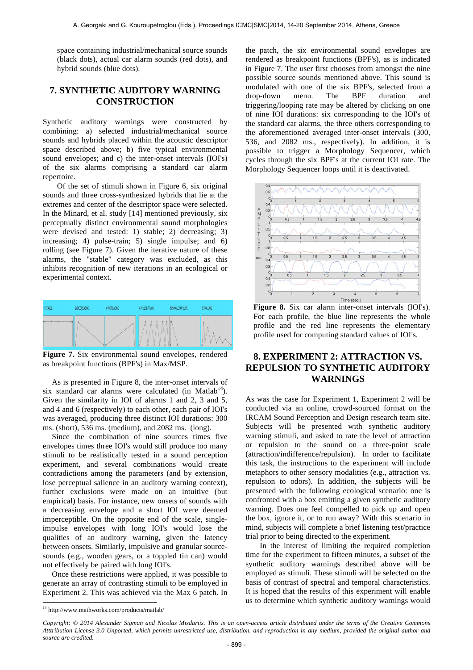space containing industrial/mechanical source sounds (black dots), actual car alarm sounds (red dots), and hybrid sounds (blue dots).

## **7. SYNTHETIC AUDITORY WARNING CONSTRUCTION**

Synthetic auditory warnings were constructed by combining: a) selected industrial/mechanical source sounds and hybrids placed within the acoustic descriptor space described above; b) five typical environmental sound envelopes; and c) the inter-onset intervals (IOI's) of the six alarms comprising a standard car alarm repertoire.

Of the set of stimuli shown in Figure 6, six original sounds and three cross-synthesized hybrids that lie at the extremes and center of the descriptor space were selected. In the Minard, et al. study [14] mentioned previously, six perceptually distinct environmental sound morphologies were devised and tested: 1) stable; 2) decreasing; 3) increasing; 4) pulse-train; 5) single impulse; and 6) rolling (see Figure 7). Given the iterative nature of these alarms, the "stable" category was excluded, as this inhibits recognition of new iterations in an ecological or experimental context.



**Figure 7.** Six environmental sound envelopes, rendered as breakpoint functions (BPF's) in Max/MSP.

As is presented in Figure 8, the inter-onset intervals of six standard car alarms were calculated (in Matlab<sup>14</sup>). Given the similarity in IOI of alarms 1 and 2, 3 and 5, and 4 and 6 (respectively) to each other, each pair of IOI's was averaged, producing three distinct IOI durations: 300 ms. (short), 536 ms. (medium), and 2082 ms. (long).

Since the combination of nine sources times five envelopes times three IOI's would still produce too many stimuli to be realistically tested in a sound perception experiment, and several combinations would create contradictions among the parameters (and by extension, lose perceptual salience in an auditory warning context), further exclusions were made on an intuitive (but empirical) basis. For instance, new onsets of sounds with a decreasing envelope and a short IOI were deemed imperceptible. On the opposite end of the scale, singleimpulse envelopes with long IOI's would lose the qualities of an auditory warning, given the latency between onsets. Similarly, impulsive and granular sourcesounds (e.g., wooden gears, or a toppled tin can) would not effectively be paired with long IOI's.

Once these restrictions were applied, it was possible to generate an array of contrasting stimuli to be employed in Experiment 2. This was achieved via the Max 6 patch. In the patch, the six environmental sound envelopes are rendered as breakpoint functions (BPF's), as is indicated in Figure 7. The user first chooses from amongst the nine possible source sounds mentioned above. This sound is modulated with one of the six BPF's, selected from a drop-down menu. The BPF duration and triggering/looping rate may be altered by clicking on one of nine IOI durations: six corresponding to the IOI's of the standard car alarms, the three others corresponding to the aforementioned averaged inter-onset intervals (300, 536, and 2082 ms., respectively). In addition, it is possible to trigger a Morphology Sequencer, which cycles through the six BPF's at the current IOI rate. The Morphology Sequencer loops until it is deactivated.



**Figure 8.** Six car alarm inter-onset intervals (IOI's). For each profile, the blue line represents the whole profile and the red line represents the elementary profile used for computing standard values of IOI's.

# **8. EXPERIMENT 2: ATTRACTION VS. REPULSION TO SYNTHETIC AUDITORY WARNINGS**

As was the case for Experiment 1, Experiment 2 will be conducted via an online, crowd-sourced format on the IRCAM Sound Perception and Design research team site. Subjects will be presented with synthetic auditory warning stimuli, and asked to rate the level of attraction or repulsion to the sound on a three-point scale (attraction/indifference/repulsion). In order to facilitate this task, the instructions to the experiment will include metaphors to other sensory modalities (e.g., attraction vs. repulsion to odors). In addition, the subjects will be presented with the following ecological scenario: one is confronted with a box emitting a given synthetic auditory warning. Does one feel compelled to pick up and open the box, ignore it, or to run away? With this scenario in mind, subjects will complete a brief listening test/practice trial prior to being directed to the experiment.

In the interest of limiting the required completion time for the experiment to fifteen minutes, a subset of the synthetic auditory warnings described above will be employed as stimuli. These stimuli will be selected on the basis of contrast of spectral and temporal characteristics. It is hoped that the results of this experiment will enable us to determine which synthetic auditory warnings would

 $\overline{a}$ 

<sup>&</sup>lt;sup>14</sup> http://www.mathworks.com/products/matlab/

*Copyright: © 2014 Alexander Sigman and Nicolas Misdariis. This is an open-access article distributed under the terms of the Creative Commons Atttribution License 3.0 Unported, which permits unrestricted use, distribution, and reproduction in any medium, provided the original author and source are credited.*